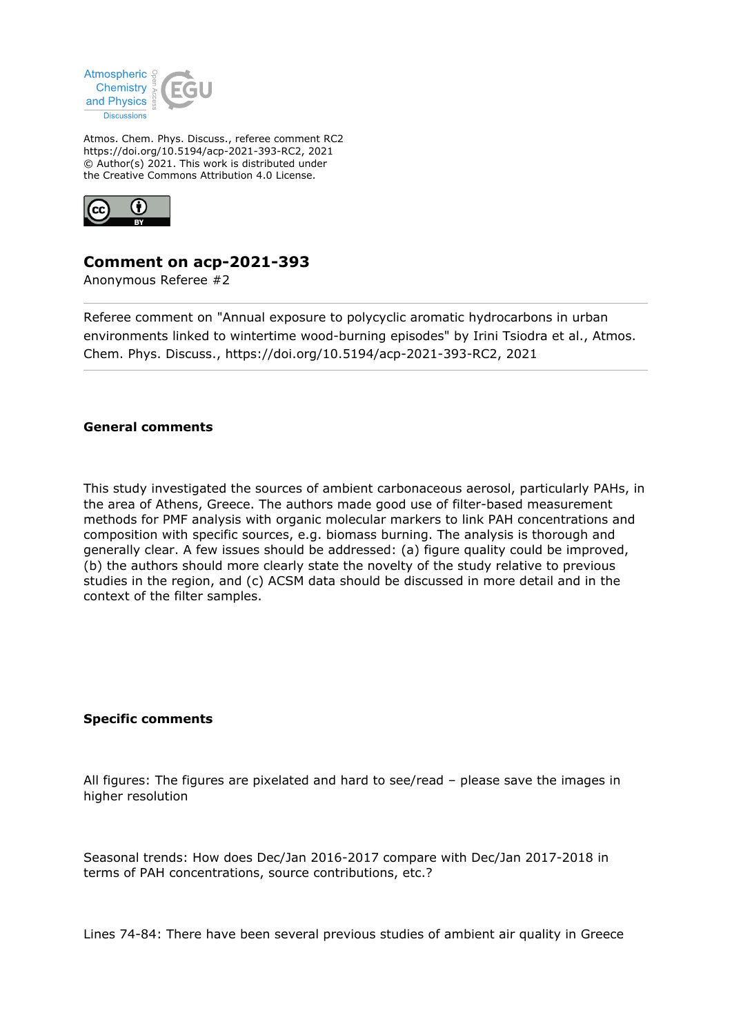

Atmos. Chem. Phys. Discuss., referee comment RC2 https://doi.org/10.5194/acp-2021-393-RC2, 2021 © Author(s) 2021. This work is distributed under the Creative Commons Attribution 4.0 License.



## **Comment on acp-2021-393**

Anonymous Referee #2

Referee comment on "Annual exposure to polycyclic aromatic hydrocarbons in urban environments linked to wintertime wood-burning episodes" by Irini Tsiodra et al., Atmos. Chem. Phys. Discuss., https://doi.org/10.5194/acp-2021-393-RC2, 2021

## **General comments**

This study investigated the sources of ambient carbonaceous aerosol, particularly PAHs, in the area of Athens, Greece. The authors made good use of filter-based measurement methods for PMF analysis with organic molecular markers to link PAH concentrations and composition with specific sources, e.g. biomass burning. The analysis is thorough and generally clear. A few issues should be addressed: (a) figure quality could be improved, (b) the authors should more clearly state the novelty of the study relative to previous studies in the region, and (c) ACSM data should be discussed in more detail and in the context of the filter samples.

## **Specific comments**

All figures: The figures are pixelated and hard to see/read – please save the images in higher resolution

Seasonal trends: How does Dec/Jan 2016-2017 compare with Dec/Jan 2017-2018 in terms of PAH concentrations, source contributions, etc.?

Lines 74-84: There have been several previous studies of ambient air quality in Greece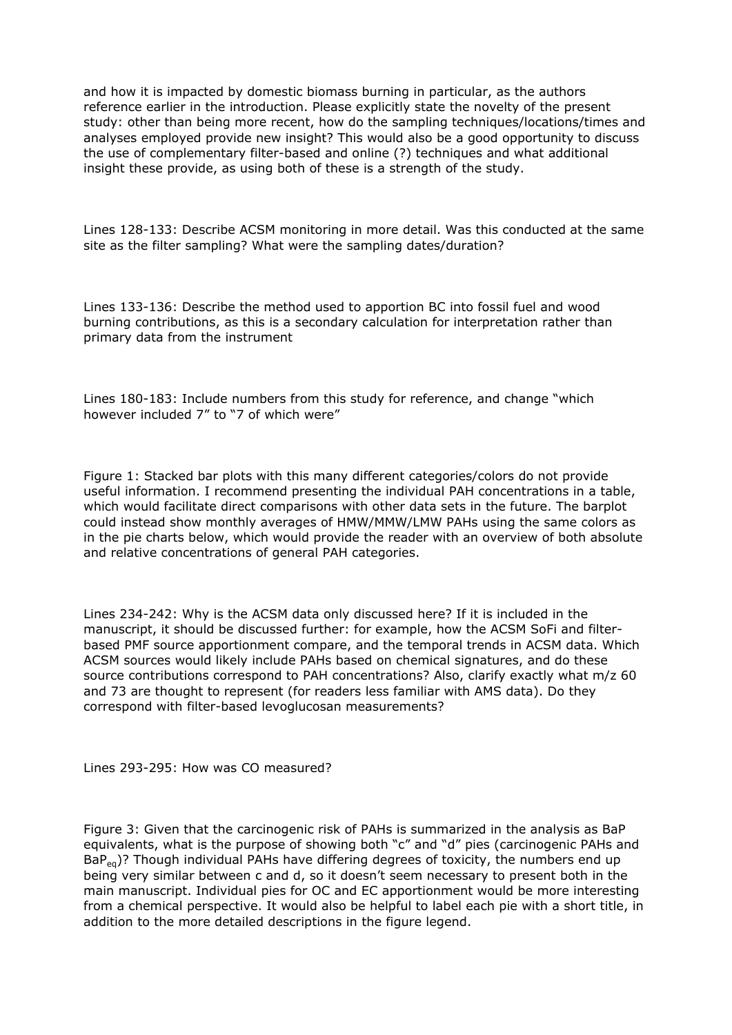and how it is impacted by domestic biomass burning in particular, as the authors reference earlier in the introduction. Please explicitly state the novelty of the present study: other than being more recent, how do the sampling techniques/locations/times and analyses employed provide new insight? This would also be a good opportunity to discuss the use of complementary filter-based and online (?) techniques and what additional insight these provide, as using both of these is a strength of the study.

Lines 128-133: Describe ACSM monitoring in more detail. Was this conducted at the same site as the filter sampling? What were the sampling dates/duration?

Lines 133-136: Describe the method used to apportion BC into fossil fuel and wood burning contributions, as this is a secondary calculation for interpretation rather than primary data from the instrument

Lines 180-183: Include numbers from this study for reference, and change "which however included 7" to "7 of which were"

Figure 1: Stacked bar plots with this many different categories/colors do not provide useful information. I recommend presenting the individual PAH concentrations in a table, which would facilitate direct comparisons with other data sets in the future. The barplot could instead show monthly averages of HMW/MMW/LMW PAHs using the same colors as in the pie charts below, which would provide the reader with an overview of both absolute and relative concentrations of general PAH categories.

Lines 234-242: Why is the ACSM data only discussed here? If it is included in the manuscript, it should be discussed further: for example, how the ACSM SoFi and filterbased PMF source apportionment compare, and the temporal trends in ACSM data. Which ACSM sources would likely include PAHs based on chemical signatures, and do these source contributions correspond to PAH concentrations? Also, clarify exactly what m/z 60 and 73 are thought to represent (for readers less familiar with AMS data). Do they correspond with filter-based levoglucosan measurements?

Lines 293-295: How was CO measured?

Figure 3: Given that the carcinogenic risk of PAHs is summarized in the analysis as BaP equivalents, what is the purpose of showing both "c" and "d" pies (carcinogenic PAHs and  $BaP_{eq}$ )? Though individual PAHs have differing degrees of toxicity, the numbers end up being very similar between c and d, so it doesn't seem necessary to present both in the main manuscript. Individual pies for OC and EC apportionment would be more interesting from a chemical perspective. It would also be helpful to label each pie with a short title, in addition to the more detailed descriptions in the figure legend.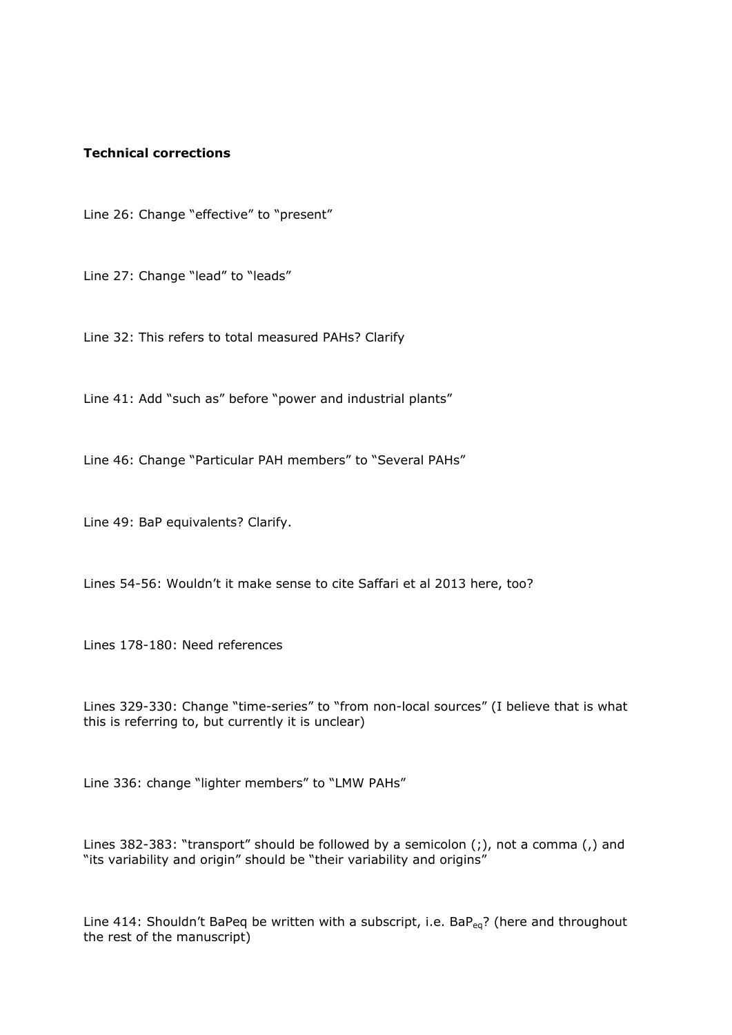## **Technical corrections**

Line 26: Change "effective" to "present"

Line 27: Change "lead" to "leads"

Line 32: This refers to total measured PAHs? Clarify

Line 41: Add "such as" before "power and industrial plants"

Line 46: Change "Particular PAH members" to "Several PAHs"

Line 49: BaP equivalents? Clarify.

Lines 54-56: Wouldn't it make sense to cite Saffari et al 2013 here, too?

Lines 178-180: Need references

Lines 329-330: Change "time-series" to "from non-local sources" (I believe that is what this is referring to, but currently it is unclear)

Line 336: change "lighter members" to "LMW PAHs"

Lines 382-383: "transport" should be followed by a semicolon (;), not a comma (,) and "its variability and origin" should be "their variability and origins"

Line 414: Shouldn't BaPeq be written with a subscript, i.e. BaP<sub>eq</sub>? (here and throughout the rest of the manuscript)